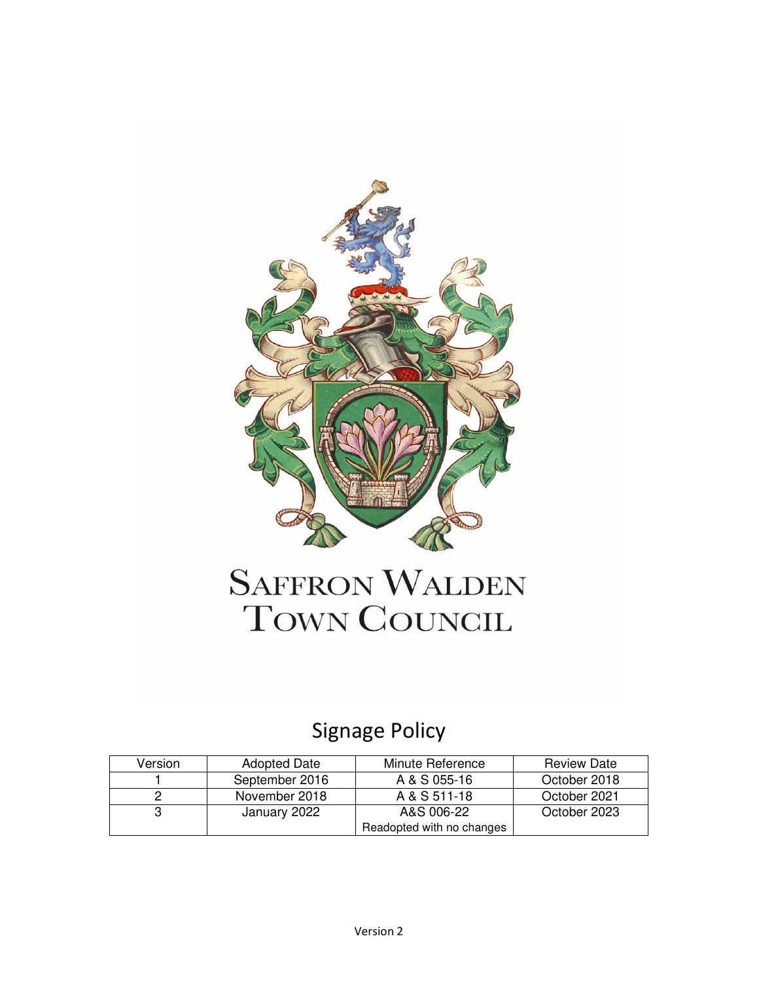

## **SAFFRON WALDEN** TOWN COUNCIL

## Signage Policy

| Version | <b>Adopted Date</b> | Minute Reference          | <b>Review Date</b> |
|---------|---------------------|---------------------------|--------------------|
|         | September 2016      | A & S 055-16              | October 2018       |
|         | November 2018       | A & S 511-18              | October 2021       |
|         | January 2022        | A&S 006-22                | October 2023       |
|         |                     | Readopted with no changes |                    |